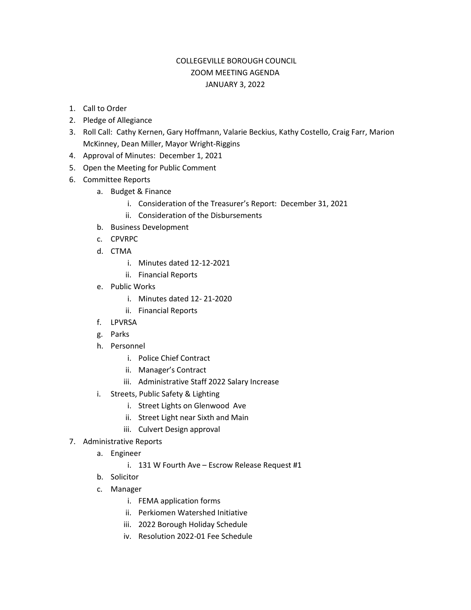## COLLEGEVILLE BOROUGH COUNCIL ZOOM MEETING AGENDA JANUARY 3, 2022

- 1. Call to Order
- 2. Pledge of Allegiance
- 3. Roll Call: Cathy Kernen, Gary Hoffmann, Valarie Beckius, Kathy Costello, Craig Farr, Marion McKinney, Dean Miller, Mayor Wright-Riggins
- 4. Approval of Minutes: December 1, 2021
- 5. Open the Meeting for Public Comment
- 6. Committee Reports
	- a. Budget & Finance
		- i. Consideration of the Treasurer's Report: December 31, 2021
		- ii. Consideration of the Disbursements
	- b. Business Development
	- c. CPVRPC
	- d. CTMA
		- i. Minutes dated 12-12-2021
		- ii. Financial Reports
	- e. Public Works
		- i. Minutes dated 12- 21-2020
		- ii. Financial Reports
	- f. LPVRSA
	- g. Parks
	- h. Personnel
		- i. Police Chief Contract
		- ii. Manager's Contract
		- iii. Administrative Staff 2022 Salary Increase
	- i. Streets, Public Safety & Lighting
		- i. Street Lights on Glenwood Ave
		- ii. Street Light near Sixth and Main
		- iii. Culvert Design approval
- 7. Administrative Reports
	- a. Engineer
		- i. 131 W Fourth Ave Escrow Release Request #1
	- b. Solicitor
	- c. Manager
		- i. FEMA application forms
		- ii. Perkiomen Watershed Initiative
		- iii. 2022 Borough Holiday Schedule
		- iv. Resolution 2022-01 Fee Schedule